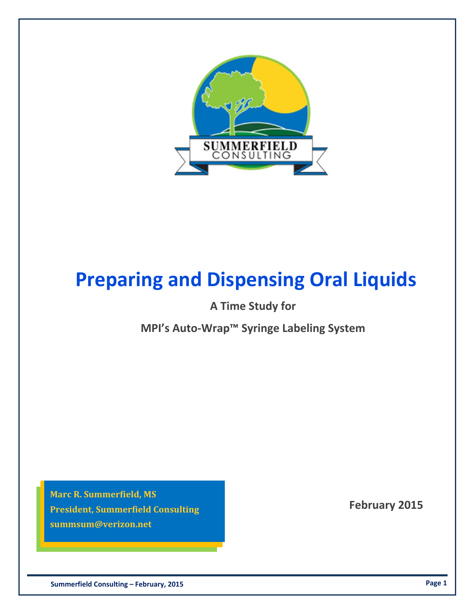

## **Preparing and Dispensing Oral Liquids**

**A Time Study for**

**MPI's Auto‐Wrap™ Syringe Labeling System**

 **February 2015 President, Summerfield Consulting Marc R. Summerfield, MS summsum@verizon.net**

 **Summerfield Consulting – February, 2015 Page 1**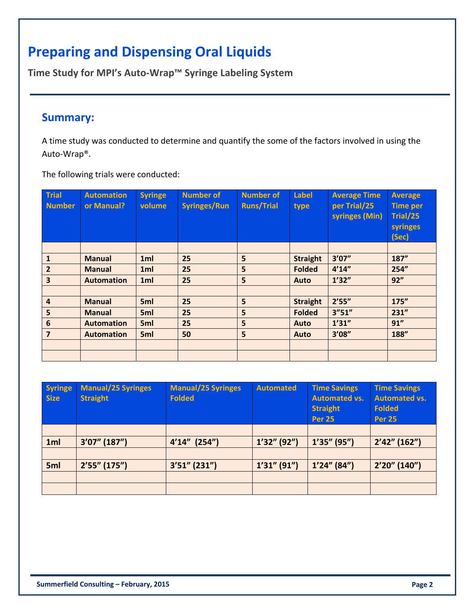## **Preparing and Dispensing Oral Liquids**

**Time Study for MPI's Auto‐Wrap™ Syringe Labeling System**

## **Summary:**

A time study was conducted to determine and quantify the some of the factors involved in using the Auto‐Wrap®.

The following trials were conducted:

| <b>Trial</b><br><b>Number</b> | <b>Automation</b><br>or Manual? | <b>Syringe</b><br>volume | <b>Number of</b><br><b>Syringes/Run</b> | <b>Number of</b><br><b>Runs/Trial</b> | Label<br>type   | <b>Average Time</b><br>per Trial/25<br>syringes (Min) | <b>Average</b><br><b>Time per</b><br>Trial/25<br>syringes<br>(Sec) |
|-------------------------------|---------------------------------|--------------------------|-----------------------------------------|---------------------------------------|-----------------|-------------------------------------------------------|--------------------------------------------------------------------|
|                               |                                 |                          |                                         |                                       |                 |                                                       |                                                                    |
| $\mathbf{1}$                  | <b>Manual</b>                   | 1ml                      | 25                                      | 5                                     | <b>Straight</b> | 3'07''                                                | 187"                                                               |
| $\overline{2}$                | <b>Manual</b>                   | 1ml                      | 25                                      | 5                                     | <b>Folded</b>   | 4'14''                                                | 254"                                                               |
| $\overline{\mathbf{3}}$       | <b>Automation</b>               | 1ml                      | 25                                      | 5                                     | Auto            | 1'32''                                                | 92"                                                                |
|                               |                                 |                          |                                         |                                       |                 |                                                       |                                                                    |
| $\overline{4}$                | <b>Manual</b>                   | 5ml                      | 25                                      | 5                                     | <b>Straight</b> | 2'55''                                                | 175''                                                              |
| 5                             | <b>Manual</b>                   | 5ml                      | 25                                      | 5                                     | <b>Folded</b>   | 3''51''                                               | 231''                                                              |
| $6\phantom{1}6$               | <b>Automation</b>               | 5ml                      | 25                                      | 5                                     | Auto            | 1'31''                                                | 91"                                                                |
| $\overline{7}$                | <b>Automation</b>               | 5ml                      | 50                                      | 5                                     | Auto            | 3'08''                                                | 188"                                                               |
|                               |                                 |                          |                                         |                                       |                 |                                                       |                                                                    |
|                               |                                 |                          |                                         |                                       |                 |                                                       |                                                                    |

| <b>Syringe</b><br><b>Size</b> | <b>Manual/25 Syringes</b><br><b>Straight</b> | <b>Manual/25 Syringes</b><br><b>Folded</b> | <b>Automated</b> | <b>Time Savings</b><br><b>Automated vs.</b><br><b>Straight</b><br><b>Per 25</b> | <b>Time Savings</b><br><b>Automated vs.</b><br><b>Folded</b><br><b>Per 25</b> |
|-------------------------------|----------------------------------------------|--------------------------------------------|------------------|---------------------------------------------------------------------------------|-------------------------------------------------------------------------------|
|                               |                                              |                                            |                  |                                                                                 |                                                                               |
| 1ml                           | 3'07" (187")                                 | $4'14''$ (254")                            | $1'32''$ (92")   | $1'35''$ (95")                                                                  | $2'42''$ (162")                                                               |
|                               |                                              |                                            |                  |                                                                                 |                                                                               |
| 5ml                           | 2'55''(175'')                                | $3'51''$ (231")                            | $1'31''$ (91")   | $1'24''$ (84")                                                                  | 2'20''(140'')                                                                 |
|                               |                                              |                                            |                  |                                                                                 |                                                                               |
|                               |                                              |                                            |                  |                                                                                 |                                                                               |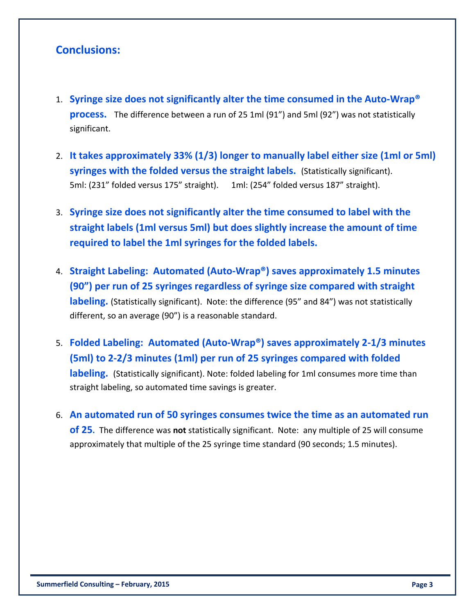## **Conclusions:**

- 1. **Syringe size does not significantly alter the time consumed in the Auto‐Wrap® process.** The difference between a run of 25 1ml (91") and 5ml (92") was not statistically significant.
- 2. **It takes approximately 33% (1/3) longer to manually label either size (1ml or 5ml) syringes with the folded versus the straight labels.** (Statistically significant). 5ml: (231" folded versus 175" straight). 1ml: (254" folded versus 187" straight).
- 3. **Syringe size does not significantly alter the time consumed to label with the straight labels (1ml versus 5ml) but does slightly increase the amount of time required to label the 1ml syringes for the folded labels.**
- 4. **Straight Labeling: Automated (Auto‐Wrap®) saves approximately 1.5 minutes (90") per run of 25 syringes regardless of syringe size compared with straight labeling.** (Statistically significant). Note: the difference (95" and 84") was not statistically different, so an average (90") is a reasonable standard.
- 5. **Folded Labeling: Automated (Auto‐Wrap®) saves approximately 2‐1/3 minutes (5ml) to 2‐2/3 minutes (1ml) per run of 25 syringes compared with folded labeling.** (Statistically significant). Note: folded labeling for 1ml consumes more time than straight labeling, so automated time savings is greater.
- 6. **An automated run of 50 syringes consumes twice the time as an automated run of 25.** The difference was not statistically significant. Note: any multiple of 25 will consume approximately that multiple of the 25 syringe time standard (90 seconds; 1.5 minutes).